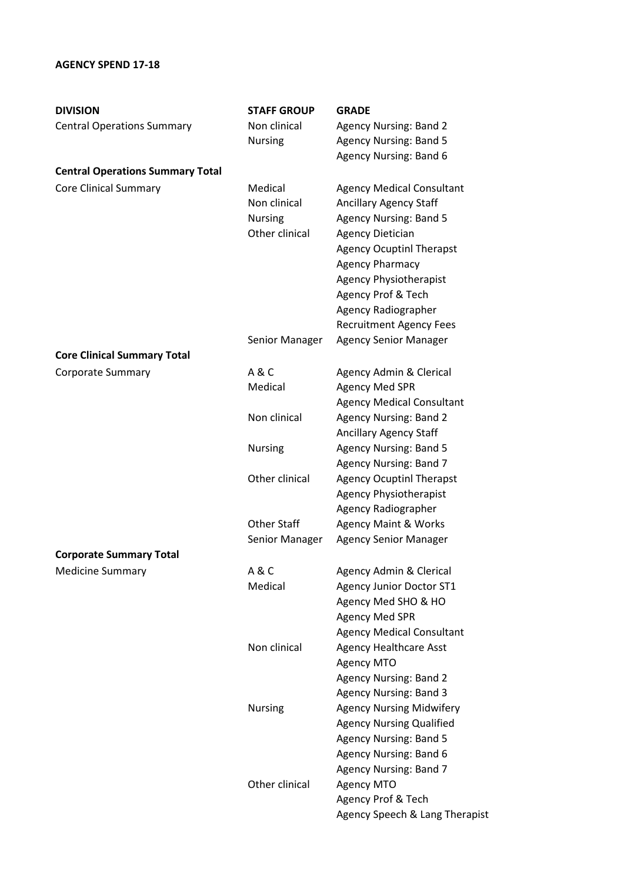## **AGENCY SPEND 17-18**

| <b>DIVISION</b>                         | <b>STAFF GROUP</b>                                                  | <b>GRADE</b>                     |
|-----------------------------------------|---------------------------------------------------------------------|----------------------------------|
| <b>Central Operations Summary</b>       | Non clinical                                                        | <b>Agency Nursing: Band 2</b>    |
|                                         | <b>Nursing</b>                                                      | <b>Agency Nursing: Band 5</b>    |
|                                         |                                                                     | Agency Nursing: Band 6           |
| <b>Central Operations Summary Total</b> |                                                                     |                                  |
| <b>Core Clinical Summary</b>            | Medical                                                             | <b>Agency Medical Consultant</b> |
|                                         | Non clinical                                                        | <b>Ancillary Agency Staff</b>    |
|                                         | <b>Nursing</b>                                                      | <b>Agency Nursing: Band 5</b>    |
|                                         | Other clinical<br><b>Agency Dietician</b><br><b>Agency Pharmacy</b> |                                  |
|                                         |                                                                     | <b>Agency Ocuptinl Therapst</b>  |
|                                         |                                                                     |                                  |
|                                         |                                                                     | <b>Agency Physiotherapist</b>    |
|                                         |                                                                     | Agency Prof & Tech               |
|                                         |                                                                     | Agency Radiographer              |
|                                         |                                                                     | <b>Recruitment Agency Fees</b>   |
|                                         | Senior Manager                                                      | <b>Agency Senior Manager</b>     |
| <b>Core Clinical Summary Total</b>      |                                                                     |                                  |
| <b>Corporate Summary</b>                | A & C                                                               | Agency Admin & Clerical          |
|                                         | Medical                                                             | <b>Agency Med SPR</b>            |
|                                         |                                                                     | <b>Agency Medical Consultant</b> |
|                                         | Non clinical                                                        | <b>Agency Nursing: Band 2</b>    |
|                                         |                                                                     | <b>Ancillary Agency Staff</b>    |
|                                         | <b>Nursing</b>                                                      | <b>Agency Nursing: Band 5</b>    |
|                                         |                                                                     | Agency Nursing: Band 7           |
|                                         | Other clinical                                                      | <b>Agency Ocuptinl Therapst</b>  |
|                                         |                                                                     | <b>Agency Physiotherapist</b>    |
|                                         |                                                                     | <b>Agency Radiographer</b>       |
|                                         | <b>Other Staff</b>                                                  | <b>Agency Maint &amp; Works</b>  |
|                                         | Senior Manager                                                      | <b>Agency Senior Manager</b>     |
| <b>Corporate Summary Total</b>          |                                                                     |                                  |
| <b>Medicine Summary</b>                 | A&C                                                                 | Agency Admin & Clerical          |
|                                         | Medical                                                             | <b>Agency Junior Doctor ST1</b>  |
|                                         |                                                                     | Agency Med SHO & HO              |
|                                         |                                                                     | <b>Agency Med SPR</b>            |
|                                         |                                                                     | <b>Agency Medical Consultant</b> |
|                                         | Non clinical                                                        | <b>Agency Healthcare Asst</b>    |
|                                         |                                                                     | Agency MTO                       |
|                                         |                                                                     | <b>Agency Nursing: Band 2</b>    |
|                                         |                                                                     | <b>Agency Nursing: Band 3</b>    |
|                                         | <b>Nursing</b>                                                      | <b>Agency Nursing Midwifery</b>  |
|                                         |                                                                     | <b>Agency Nursing Qualified</b>  |
|                                         |                                                                     | <b>Agency Nursing: Band 5</b>    |
|                                         |                                                                     | Agency Nursing: Band 6           |
|                                         |                                                                     | Agency Nursing: Band 7           |
|                                         | Other clinical                                                      | Agency MTO                       |
|                                         |                                                                     | Agency Prof & Tech               |
|                                         |                                                                     | Agency Speech & Lang Therapist   |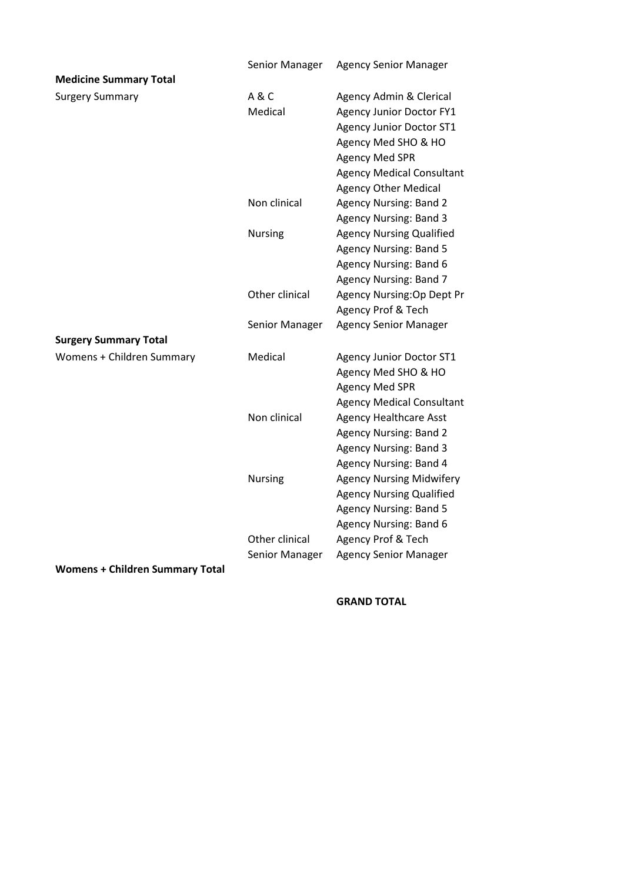|                                        | Senior Manager | <b>Agency Senior Manager</b>     |
|----------------------------------------|----------------|----------------------------------|
| <b>Medicine Summary Total</b>          |                |                                  |
| <b>Surgery Summary</b>                 | A&C            | Agency Admin & Clerical          |
|                                        | Medical        | <b>Agency Junior Doctor FY1</b>  |
|                                        |                | <b>Agency Junior Doctor ST1</b>  |
|                                        |                | Agency Med SHO & HO              |
|                                        |                | <b>Agency Med SPR</b>            |
|                                        |                | <b>Agency Medical Consultant</b> |
|                                        |                | <b>Agency Other Medical</b>      |
|                                        | Non clinical   | <b>Agency Nursing: Band 2</b>    |
|                                        |                | <b>Agency Nursing: Band 3</b>    |
|                                        | Nursing        | <b>Agency Nursing Qualified</b>  |
|                                        |                | <b>Agency Nursing: Band 5</b>    |
|                                        |                | Agency Nursing: Band 6           |
|                                        |                | <b>Agency Nursing: Band 7</b>    |
|                                        | Other clinical | Agency Nursing: Op Dept Pr       |
|                                        |                | Agency Prof & Tech               |
|                                        | Senior Manager | <b>Agency Senior Manager</b>     |
| <b>Surgery Summary Total</b>           |                |                                  |
| Womens + Children Summary              | Medical        | <b>Agency Junior Doctor ST1</b>  |
|                                        |                | Agency Med SHO & HO              |
|                                        |                | <b>Agency Med SPR</b>            |
|                                        |                | <b>Agency Medical Consultant</b> |
|                                        | Non clinical   | <b>Agency Healthcare Asst</b>    |
|                                        |                | <b>Agency Nursing: Band 2</b>    |
|                                        |                | <b>Agency Nursing: Band 3</b>    |
|                                        |                | Agency Nursing: Band 4           |
|                                        | Nursing        | <b>Agency Nursing Midwifery</b>  |
|                                        |                | <b>Agency Nursing Qualified</b>  |
|                                        |                | <b>Agency Nursing: Band 5</b>    |
|                                        |                | Agency Nursing: Band 6           |
|                                        | Other clinical | Agency Prof & Tech               |
|                                        | Senior Manager | <b>Agency Senior Manager</b>     |
| <b>Womens + Children Summary Total</b> |                |                                  |

## **GRAND TOTAL**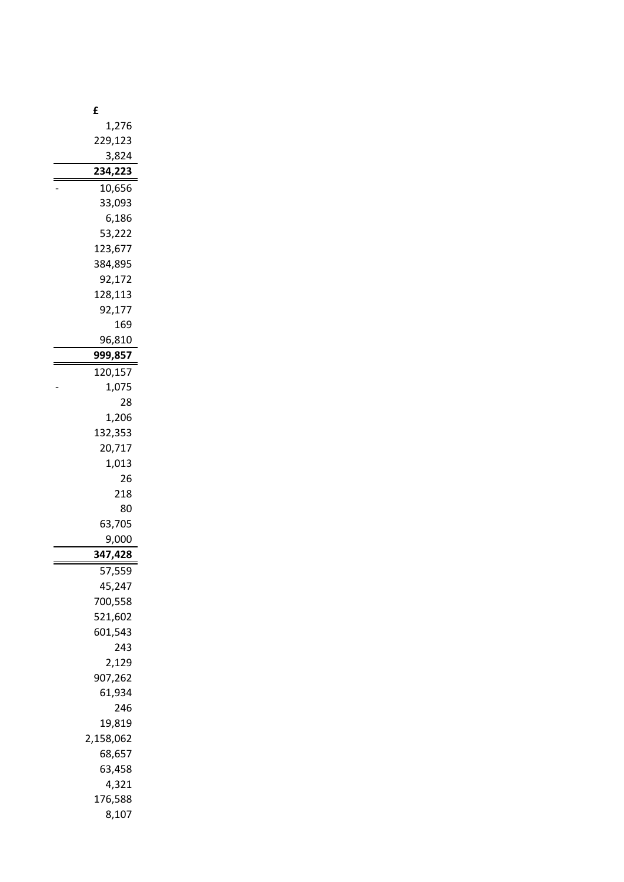| £                |
|------------------|
| 1,276            |
| 229,123          |
| 3,824            |
| 234,223          |
| 10,656           |
| 33,093           |
| 6,186            |
| 53,222           |
| 123,677          |
| 384,895          |
| 92,172           |
| 128,113          |
| 92,177           |
| 169              |
| 96,810           |
| 999,857          |
| 120,157          |
| 1,075            |
| 28               |
| 1,206            |
| 132,353          |
| 20,717           |
| 1,013            |
| 26               |
| 218              |
| 80               |
| 63,705           |
| 9,000<br>347,428 |
|                  |
| 57,559<br>45,247 |
| 700,558          |
| 521,602          |
| 601,543          |
| 243              |
| 2,129            |
| 907,262          |
| 61,934           |
| 246              |
| 19,819           |
| 2,158,062        |
| 68,657           |
| 63,458           |
| 4,321            |
| 176,588          |
| 8,107            |